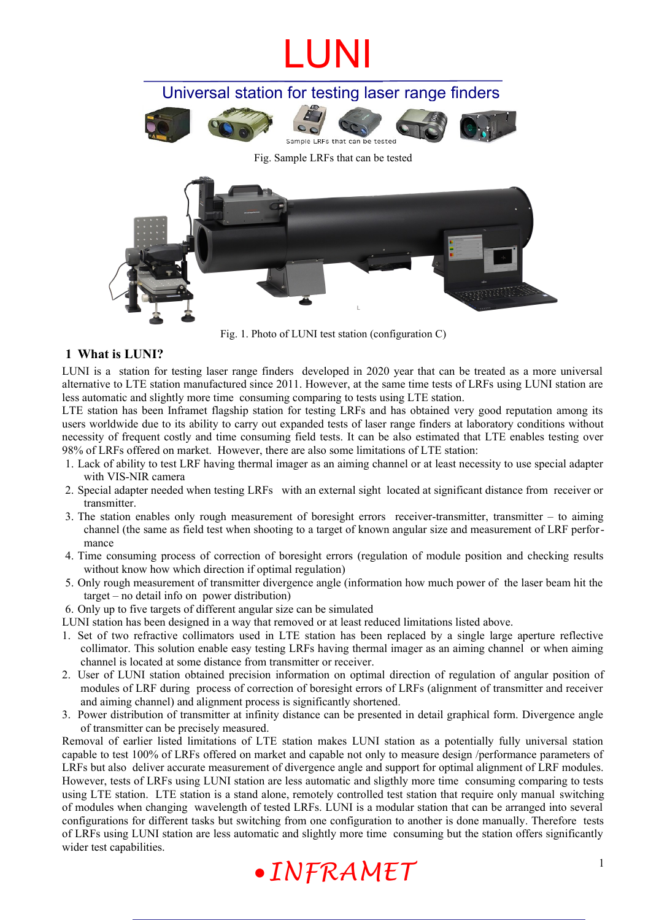Universal station for testing laser range finders



Fig. Sample LRFs that can be tested



Fig. 1. Photo of LUNI test station (configuration C)

### **1 What is LUNI?**

LUNI is a station for testing laser range finders developed in 2020 year that can be treated as a more universal alternative to LTE station manufactured since 2011. However, at the same time tests of LRFs using LUNI station are less automatic and slightly more time consuming comparing to tests using LTE station.

LTE station has been Inframet flagship station for testing LRFs and has obtained very good reputation among its users worldwide due to its ability to carry out expanded tests of laser range finders at laboratory conditions without necessity of frequent costly and time consuming field tests. It can be also estimated that LTE enables testing over 98% of LRFs offered on market. However, there are also some limitations of LTE station:

- 1. Lack of ability to test LRF having thermal imager as an aiming channel or at least necessity to use special adapter with VIS-NIR camera
- 2. Special adapter needed when testing LRFs with an external sight located at significant distance from receiver or transmitter.
- 3. The station enables only rough measurement of boresight errors receiver-transmitter, transmitter to aiming channel (the same as field test when shooting to a target of known angular size and measurement of LRF performance
- 4. Time consuming process of correction of boresight errors (regulation of module position and checking results without know how which direction if optimal regulation)
- 5. Only rough measurement of transmitter divergence angle (information how much power of the laser beam hit the target – no detail info on power distribution)
- 6. Only up to five targets of different angular size can be simulated
- LUNI station has been designed in a way that removed or at least reduced limitations listed above.
- 1. Set of two refractive collimators used in LTE station has been replaced by a single large aperture reflective collimator. This solution enable easy testing LRFs having thermal imager as an aiming channel or when aiming channel is located at some distance from transmitter or receiver.
- 2. User of LUNI station obtained precision information on optimal direction of regulation of angular position of modules of LRF during process of correction of boresight errors of LRFs (alignment of transmitter and receiver and aiming channel) and alignment process is significantly shortened.
- 3. Power distribution of transmitter at infinity distance can be presented in detail graphical form. Divergence angle of transmitter can be precisely measured.

Removal of earlier listed limitations of LTE station makes LUNI station as a potentially fully universal station capable to test 100% of LRFs offered on market and capable not only to measure design /performance parameters of LRFs but also deliver accurate measurement of divergence angle and support for optimal alignment of LRF modules. However, tests of LRFs using LUNI station are less automatic and sligthly more time consuming comparing to tests using LTE station. LTE station is a stand alone, remotely controlled test station that require only manual switching of modules when changing wavelength of tested LRFs. LUNI is a modular station that can be arranged into several configurations for different tasks but switching from one configuration to another is done manually. Therefore tests of LRFs using LUNI station are less automatic and slightly more time consuming but the station offers significantly wider test capabilities.

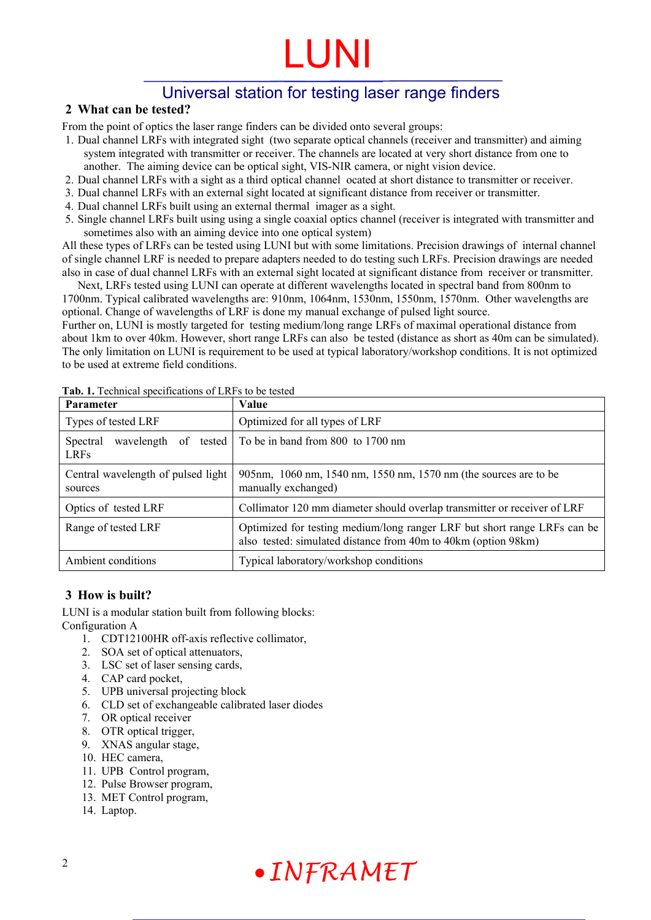### Universal station for testing laser range finders

### **2 What can be tested?**

From the point of optics the laser range finders can be divided onto several groups:

- 1. Dual channel LRFs with integrated sight (two separate optical channels (receiver and transmitter) and aiming system integrated with transmitter or receiver. The channels are located at very short distance from one to another. The aiming device can be optical sight, VIS-NIR camera, or night vision device.
- 2. Dual channel LRFs with a sight as a third optical channel ocated at short distance to transmitter or receiver.
- 3. Dual channel LRFs with an external sight located at significant distance from receiver or transmitter.
- 4. Dual channel LRFs built using an external thermal imager as a sight.
- 5. Single channel LRFs built using using a single coaxial optics channel (receiver is integrated with transmitter and sometimes also with an aiming device into one optical system)

All these types of LRFs can be tested using LUNI but with some limitations. Precision drawings of internal channel of single channel LRF is needed to prepare adapters needed to do testing such LRFs. Precision drawings are needed also in case of dual channel LRFs with an external sight located at significant distance from receiver or transmitter. Next, LRFs tested using LUNI can operate at different wavelengths located in spectral band from 800nm to

1700nm. Typical calibrated wavelengths are: 910nm, 1064nm, 1530nm, 1550nm, 1570nm. Other wavelengths are optional. Change of wavelengths of LRF is done my manual exchange of pulsed light source.

Further on, LUNI is mostly targeted for testing medium/long range LRFs of maximal operational distance from about 1km to over 40km. However, short range LRFs can also be tested (distance as short as 40m can be simulated). The only limitation on LUNI is requirement to be used at typical laboratory/workshop conditions. It is not optimized to be used at extreme field conditions.

| <b>Parameter</b>                                        | Value                                                                                                                                      |
|---------------------------------------------------------|--------------------------------------------------------------------------------------------------------------------------------------------|
| Types of tested LRF                                     | Optimized for all types of LRF                                                                                                             |
| wavelength<br>of<br>tested  <br>Spectral<br><b>LRFs</b> | To be in band from 800 to 1700 nm                                                                                                          |
| Central wavelength of pulsed light<br>sources           | 905nm, 1060 nm, 1540 nm, 1550 nm, 1570 nm (the sources are to be<br>manually exchanged)                                                    |
| Optics of tested LRF                                    | Collimator 120 mm diameter should overlap transmitter or receiver of LRF                                                                   |
| Range of tested LRF                                     | Optimized for testing medium/long ranger LRF but short range LRFs can be<br>also tested: simulated distance from 40m to 40km (option 98km) |
| Ambient conditions                                      | Typical laboratory/workshop conditions                                                                                                     |

Tab. 1. Technical specifications of LRFs to be tested

### **3 How is built?**

LUNI is a modular station built from following blocks: Configuration A

- 1. CDT12100HR off-axis reflective collimator,
- 2. SOA set of optical attenuators,
- 3. LSC set of laser sensing cards,
- 4. CAP card pocket,
- 5. UPB universal projecting block
- 6. CLD set of exchangeable calibrated laser diodes
- 7. OR optical receiver
- 8. OTR optical trigger,
- 9. XNAS angular stage,
- 10. HEC camera,
- 11. UPB Control program,
- 12. Pulse Browser program,
- 13. MET Control program,
- 14. Laptop.

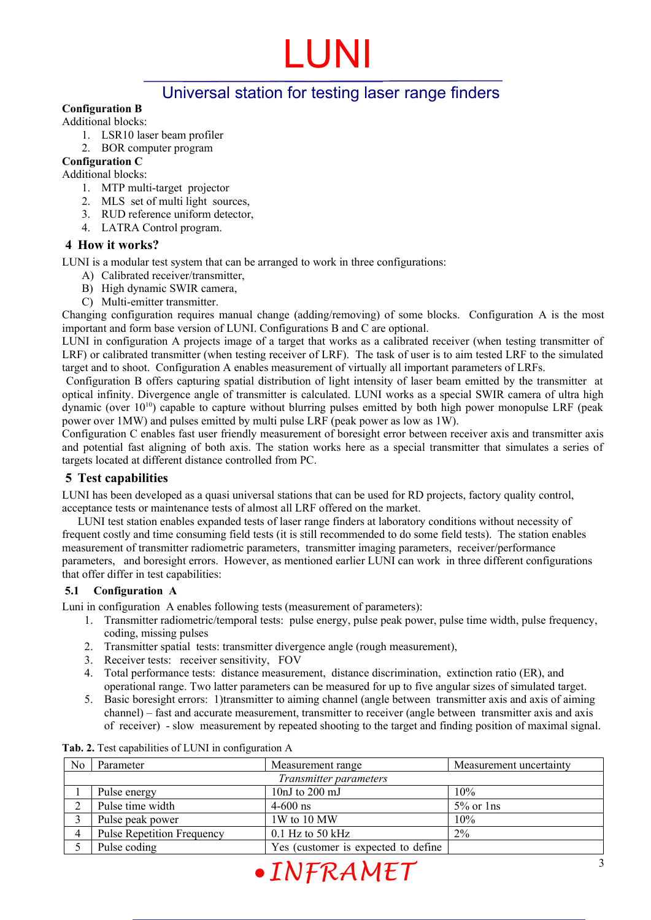### Universal station for testing laser range finders

#### **Configuration B**

Additional blocks:

- 1. LSR10 laser beam profiler
- 2. BOR computer program

### **Configuration C**

Additional blocks:

- 1. MTP multi-target projector
- 2. MLS set of multi light sources,
- 3. RUD reference uniform detector,
- 4. LATRA Control program.

### **4 How it works?**

LUNI is a modular test system that can be arranged to work in three configurations:

- A) Calibrated receiver/transmitter,
- B) High dynamic SWIR camera,
- C) Multi-emitter transmitter.

Changing configuration requires manual change (adding/removing) of some blocks. Configuration A is the most important and form base version of LUNI. Configurations B and C are optional.

LUNI in configuration A projects image of a target that works as a calibrated receiver (when testing transmitter of LRF) or calibrated transmitter (when testing receiver of LRF). The task of user is to aim tested LRF to the simulated target and to shoot. Configuration A enables measurement of virtually all important parameters of LRFs.

Configuration B offers capturing spatial distribution of light intensity of laser beam emitted by the transmitter at optical infinity. Divergence angle of transmitter is calculated. LUNI works as a special SWIR camera of ultra high dynamic (over  $10^{10}$ ) capable to capture without blurring pulses emitted by both high power monopulse LRF (peak power over 1MW) and pulses emitted by multi pulse LRF (peak power as low as 1W).

Configuration C enables fast user friendly measurement of boresight error between receiver axis and transmitter axis and potential fast aligning of both axis. The station works here as a special transmitter that simulates a series of targets located at different distance controlled from PC.

### **5 Test capabilities**

LUNI has been developed as a quasi universal stations that can be used for RD projects, factory quality control, acceptance tests or maintenance tests of almost all LRF offered on the market.

LUNI test station enables expanded tests of laser range finders at laboratory conditions without necessity of frequent costly and time consuming field tests (it is still recommended to do some field tests). The station enables measurement of transmitter radiometric parameters, transmitter imaging parameters, receiver/performance parameters, and boresight errors. However, as mentioned earlier LUNI can work in three different configurations that offer differ in test capabilities:

#### **5.1 Configuration A**

Luni in configuration A enables following tests (measurement of parameters):

- 1. Transmitter radiometric/temporal tests: pulse energy, pulse peak power, pulse time width, pulse frequency, coding, missing pulses
- 2. Transmitter spatial tests: transmitter divergence angle (rough measurement),
- 3. Receiver tests: receiver sensitivity, FOV
- 4. Total performance tests: distance measurement, distance discrimination, extinction ratio (ER), and operational range. Two latter parameters can be measured for up to five angular sizes of simulated target.
- 5. Basic boresight errors: 1)transmitter to aiming channel (angle between transmitter axis and axis of aiming channel) – fast and accurate measurement, transmitter to receiver (angle between transmitter axis and axis of receiver) - slow measurement by repeated shooting to the target and finding position of maximal signal.

| Transmitter parameters<br>10nJ to $200 \text{ mJ}$<br>10%<br>Pulse energy<br>Pulse time width<br>$5\%$ or $\ln s$<br>◠<br>$4 - 600$ ns<br>1W to 10 MW<br>Pulse peak power<br>10%<br>$2\%$<br>$\overline{4}$ | N <sub>0</sub> | Parameter                         | Measurement range  | Measurement uncertainty |
|-------------------------------------------------------------------------------------------------------------------------------------------------------------------------------------------------------------|----------------|-----------------------------------|--------------------|-------------------------|
|                                                                                                                                                                                                             |                |                                   |                    |                         |
|                                                                                                                                                                                                             |                |                                   |                    |                         |
|                                                                                                                                                                                                             |                |                                   |                    |                         |
|                                                                                                                                                                                                             |                |                                   |                    |                         |
|                                                                                                                                                                                                             |                | <b>Pulse Repetition Frequency</b> | $0.1$ Hz to 50 kHz |                         |
| Yes (customer is expected to define<br>Pulse coding                                                                                                                                                         |                |                                   |                    |                         |

**Tab. 2.** Test capabilities of LUNI in configuration A

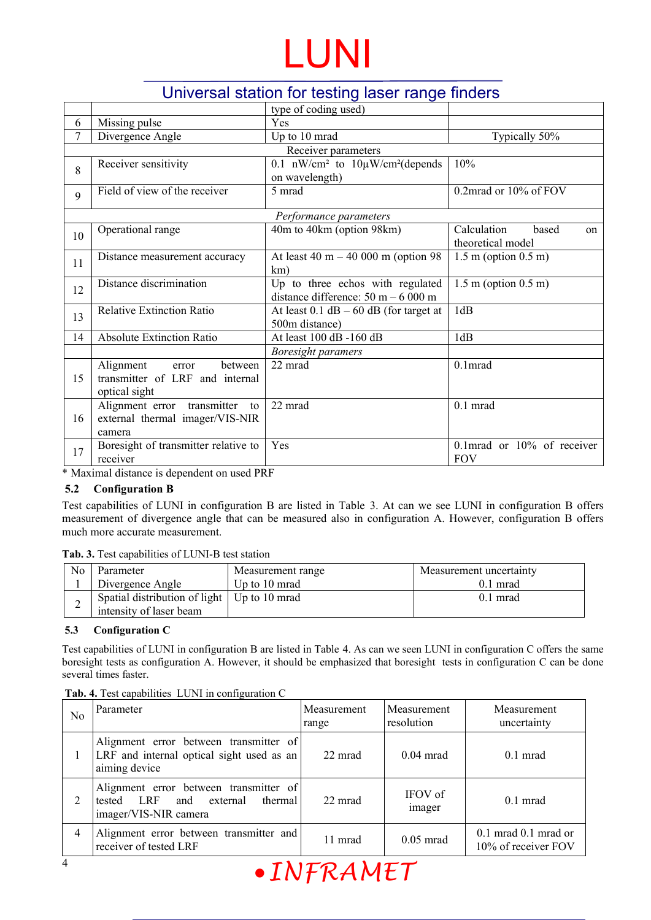### Universal station for testing laser range finders

|    |                                                                                   | type of coding used)                                                     |                                                 |  |
|----|-----------------------------------------------------------------------------------|--------------------------------------------------------------------------|-------------------------------------------------|--|
| 6  | Missing pulse                                                                     | Yes                                                                      |                                                 |  |
| 7  | Divergence Angle                                                                  | Up to 10 mrad                                                            | Typically 50%                                   |  |
|    |                                                                                   | Receiver parameters                                                      |                                                 |  |
| 8  | Receiver sensitivity                                                              | 0.1 $\text{nW/cm}^2$ to $10\mu\text{W/cm}^2$ (depends<br>on wavelength)  | 10%                                             |  |
| 9  | Field of view of the receiver                                                     | 5 mrad                                                                   | 0.2mrad or 10% of FOV                           |  |
|    |                                                                                   | Performance parameters                                                   |                                                 |  |
| 10 | Operational range                                                                 | 40m to 40km (option 98km)                                                | Calculation<br>based<br>on<br>theoretical model |  |
| 11 | Distance measurement accuracy                                                     | At least 40 m $-$ 40 000 m (option 98)<br>km)                            | $1.5$ m (option $0.5$ m)                        |  |
| 12 | Distance discrimination                                                           | Up to three echos with regulated<br>distance difference: $50 m - 6000 m$ | $1.5$ m (option $0.5$ m)                        |  |
| 13 | <b>Relative Extinction Ratio</b>                                                  | At least $0.1$ dB $-60$ dB (for target at<br>500m distance)              | 1dB                                             |  |
| 14 | <b>Absolute Extinction Ratio</b>                                                  | At least 100 dB -160 dB                                                  | 1dB                                             |  |
|    |                                                                                   | <b>Boresight paramers</b>                                                |                                                 |  |
| 15 | Alignment<br>between<br>error<br>transmitter of LRF and internal<br>optical sight | 22 mrad                                                                  | 0.1 <sub>mrad</sub>                             |  |
| 16 | Alignment error transmitter<br>to<br>external thermal imager/VIS-NIR<br>camera    | 22 mrad                                                                  | $0.1$ mrad                                      |  |
| 17 | Boresight of transmitter relative to<br>receiver                                  | Yes                                                                      | 0.1mrad or $10\%$ of receiver<br><b>FOV</b>     |  |

\* Maximal distance is dependent on used PRF

### **5.2 Configuration B**

Test capabilities of LUNI in configuration B are listed in Table [3.](#page-3-0) At can we see LUNI in configuration B offers measurement of divergence angle that can be measured also in configuration A. However, configuration B offers much more accurate measurement.

<span id="page-3-0"></span>**Tab. 3.** Test capabilities of LUNI-B test station

| No. | Parameter                                          | Measurement range | Measurement uncertainty |
|-----|----------------------------------------------------|-------------------|-------------------------|
|     | Divergence Angle                                   | Up to 10 mrad     | $0.1$ mrad              |
|     | Spatial distribution of light $\mid$ Up to 10 mrad |                   | $0.1$ mrad              |
| ∸   | intensity of laser beam                            |                   |                         |

#### **5.3 Configuration C**

Test capabilities of LUNI in configuration B are listed in Table [4.](#page-3-1) As can we seen LUNI in configuration C offers the same boresight tests as configuration A. However, it should be emphasized that boresight tests in configuration C can be done several times faster.

#### <span id="page-3-1"></span>**Tab. 4.** Test capabilities LUNI in configuration C

| No | Parameter                                                                                             | Measurement<br>range | Measurement<br>resolution | Measurement<br>uncertainty                      |
|----|-------------------------------------------------------------------------------------------------------|----------------------|---------------------------|-------------------------------------------------|
|    | Alignment error between transmitter of<br>LRF and internal optical sight used as an<br>aiming device  | 22 mrad              | $0.04$ mrad               | $0.1$ mrad                                      |
| 2  | Alignment error between transmitter of<br>tested LRF and external<br>thermal<br>imager/VIS-NIR camera | 22 mrad              | IFOV of<br>imager         | $0.1$ mrad                                      |
| 4  | Alignment error between transmitter and<br>receiver of tested LRF                                     | 11 mrad              | $0.05$ mrad               | $0.1$ mrad $0.1$ mrad or<br>10% of receiver FOV |